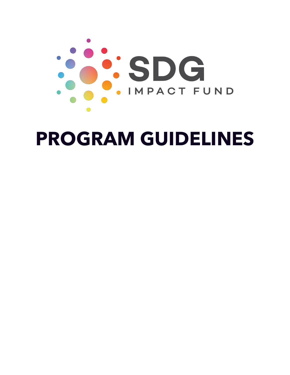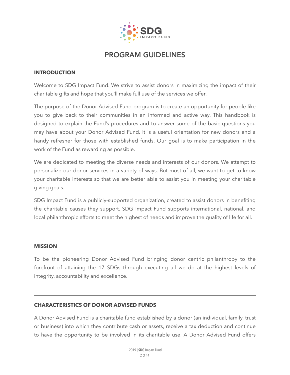

#### **INTRODUCTION**

Welcome to SDG Impact Fund. We strive to assist donors in maximizing the impact of their charitable gifts and hope that you'll make full use of the services we offer.

The purpose of the Donor Advised Fund program is to create an opportunity for people like you to give back to their communities in an informed and active way. This handbook is designed to explain the Fund's procedures and to answer some of the basic questions you may have about your Donor Advised Fund. It is a useful orientation for new donors and a handy refresher for those with established funds. Our goal is to make participation in the work of the Fund as rewarding as possible.

We are dedicated to meeting the diverse needs and interests of our donors. We attempt to personalize our donor services in a variety of ways. But most of all, we want to get to know your charitable interests so that we are better able to assist you in meeting your charitable giving goals.

SDG Impact Fund is a publicly-supported organization, created to assist donors in benefiting the charitable causes they support. SDG Impact Fund supports international, national, and local philanthropic efforts to meet the highest of needs and improve the quality of life for all.

#### **MISSION**

To be the pioneering Donor Advised Fund bringing donor centric philanthropy to the forefront of attaining the 17 SDGs through executing all we do at the highest levels of integrity, accountability and excellence.

#### **CHARACTERISTICS OF DONOR ADVISED FUNDS**

A Donor Advised Fund is a charitable fund established by a donor (an individual, family, trust or business) into which they contribute cash or assets, receive a tax deduction and continue to have the opportunity to be involved in its charitable use. A Donor Advised Fund offers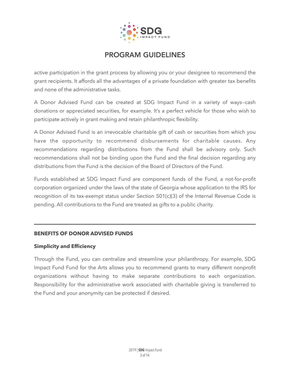

active participation in the grant process by allowing you or your designee to recommend the grant recipients. It affords all the advantages of a private foundation with greater tax benefits and none of the administrative tasks.

A Donor Advised Fund can be created at SDG Impact Fund in a variety of ways—cash donations or appreciated securities, for example. It's a perfect vehicle for those who wish to participate actively in grant making and retain philanthropic flexibility.

A Donor Advised Fund is an irrevocable charitable gift of cash or securities from which you have the opportunity to recommend disbursements for charitable causes. Any recommendations regarding distributions from the Fund shall be advisory only. Such recommendations shall not be binding upon the Fund and the final decision regarding any distributions from the Fund is the decision of the Board of Directors of the Fund.

Funds established at SDG Impact Fund are component funds of the Fund, a not-for-profit corporation organized under the laws of the state of Georgia whose application to the IRS for recognition of its tax-exempt status under Section 501(c)(3) of the Internal Revenue Code is pending. All contributions to the Fund are treated as gifts to a public charity.

#### **BENEFITS OF DONOR ADVISED FUNDS**

#### **Simplicity and Efficiency**

Through the Fund, you can centralize and streamline your philanthropy. For example, SDG Impact Fund Fund for the Arts allows you to recommend grants to many different nonprofit organizations without having to make separate contributions to each organization. Responsibility for the administrative work associated with charitable giving is transferred to the Fund and your anonymity can be protected if desired.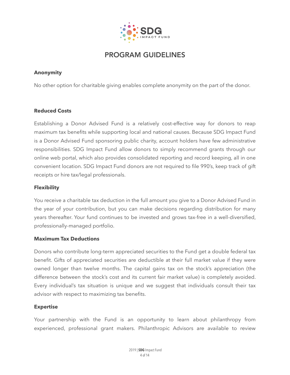

### **Anonymity**

No other option for charitable giving enables complete anonymity on the part of the donor.

## **Reduced Costs**

Establishing a Donor Advised Fund is a relatively cost-effective way for donors to reap maximum tax benefits while supporting local and national causes. Because SDG Impact Fund is a Donor Advised Fund sponsoring public charity, account holders have few administrative responsibilities. SDG Impact Fund allow donors to simply recommend grants through our online web portal, which also provides consolidated reporting and record keeping, all in one convenient location. SDG Impact Fund donors are not required to file 990's, keep track of gift receipts or hire tax/legal professionals.

### **Flexibility**

You receive a charitable tax deduction in the full amount you give to a Donor Advised Fund in the year of your contribution, but you can make decisions regarding distribution for many years thereafter. Your fund continues to be invested and grows tax-free in a well-diversified, professionally-managed portfolio.

#### **Maximum Tax Deductions**

Donors who contribute long-term appreciated securities to the Fund get a double federal tax benefit. Gifts of appreciated securities are deductible at their full market value if they were owned longer than twelve months. The capital gains tax on the stock's appreciation (the difference between the stock's cost and its current fair market value) is completely avoided. Every individual's tax situation is unique and we suggest that individuals consult their tax advisor with respect to maximizing tax benefits.

#### **Expertise**

Your partnership with the Fund is an opportunity to learn about philanthropy from experienced, professional grant makers. Philanthropic Advisors are available to review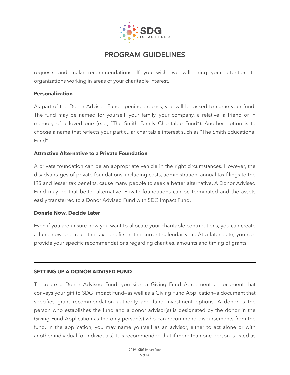

requests and make recommendations. If you wish, we will bring your attention to organizations working in areas of your charitable interest.

#### **Personalization**

As part of the Donor Advised Fund opening process, you will be asked to name your fund. The fund may be named for yourself, your family, your company, a relative, a friend or in memory of a loved one (e.g., "The Smith Family Charitable Fund"). Another option is to choose a name that reflects your particular charitable interest such as "The Smith Educational Fund".

#### **Attractive Alternative to a Private Foundation**

A private foundation can be an appropriate vehicle in the right circumstances. However, the disadvantages of private foundations, including costs, administration, annual tax filings to the IRS and lesser tax benefits, cause many people to seek a better alternative. A Donor Advised Fund may be that better alternative. Private foundations can be terminated and the assets easily transferred to a Donor Advised Fund with SDG Impact Fund.

#### **Donate Now, Decide Later**

Even if you are unsure how you want to allocate your charitable contributions, you can create a fund now and reap the tax benefits in the current calendar year. At a later date, you can provide your specific recommendations regarding charities, amounts and timing of grants.

#### **SETTING UP A DONOR ADVISED FUND**

To create a Donor Advised Fund, you sign a Giving Fund Agreement—a document that conveys your gift to SDG Impact Fund—as well as a Giving Fund Application—a document that specifies grant recommendation authority and fund investment options. A donor is the person who establishes the fund and a donor advisor(s) is designated by the donor in the Giving Fund Application as the only person(s) who can recommend disbursements from the fund. In the application, you may name yourself as an advisor, either to act alone or with another individual (or individuals). It is recommended that if more than one person is listed as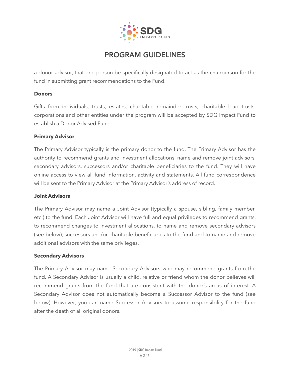

a donor advisor, that one person be specifically designated to act as the chairperson for the fund in submitting grant recommendations to the Fund.

#### **Donors**

Gifts from individuals, trusts, estates, charitable remainder trusts, charitable lead trusts, corporations and other entities under the program will be accepted by SDG Impact Fund to establish a Donor Advised Fund.

#### **Primary Advisor**

The Primary Advisor typically is the primary donor to the fund. The Primary Advisor has the authority to recommend grants and investment allocations, name and remove joint advisors, secondary advisors, successors and/or charitable beneficiaries to the fund. They will have online access to view all fund information, activity and statements. All fund correspondence will be sent to the Primary Advisor at the Primary Advisor's address of record.

#### **Joint Advisors**

The Primary Advisor may name a Joint Advisor (typically a spouse, sibling, family member, etc.) to the fund. Each Joint Advisor will have full and equal privileges to recommend grants, to recommend changes to investment allocations, to name and remove secondary advisors (see below), successors and/or charitable beneficiaries to the fund and to name and remove additional advisors with the same privileges.

#### **Secondary Advisors**

The Primary Advisor may name Secondary Advisors who may recommend grants from the fund. A Secondary Advisor is usually a child, relative or friend whom the donor believes will recommend grants from the fund that are consistent with the donor's areas of interest. A Secondary Advisor does not automatically become a Successor Advisor to the fund (see below). However, you can name Successor Advisors to assume responsibility for the fund after the death of all original donors.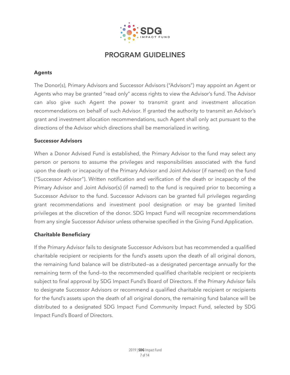

### **Agents**

The Donor(s), Primary Advisors and Successor Advisors ("Advisors") may appoint an Agent or Agents who may be granted "read only" access rights to view the Advisor's fund. The Advisor can also give such Agent the power to transmit grant and investment allocation recommendations on behalf of such Advisor. If granted the authority to transmit an Advisor's grant and investment allocation recommendations, such Agent shall only act pursuant to the directions of the Advisor which directions shall be memorialized in writing.

#### **Successor Advisors**

When a Donor Advised Fund is established, the Primary Advisor to the fund may select any person or persons to assume the privileges and responsibilities associated with the fund upon the death or incapacity of the Primary Advisor and Joint Advisor (if named) on the fund ("Successor Advisor"). Written notification and verification of the death or incapacity of the Primary Advisor and Joint Advisor(s) (if named) to the fund is required prior to becoming a Successor Advisor to the fund. Successor Advisors can be granted full privileges regarding grant recommendations and investment pool designation or may be granted limited privileges at the discretion of the donor. SDG Impact Fund will recognize recommendations from any single Successor Advisor unless otherwise specified in the Giving Fund Application.

#### **Charitable Beneficiary**

If the Primary Advisor fails to designate Successor Advisors but has recommended a qualified charitable recipient or recipients for the fund's assets upon the death of all original donors, the remaining fund balance will be distributed—as a designated percentage annually for the remaining term of the fund—to the recommended qualified charitable recipient or recipients subject to final approval by SDG Impact Fund's Board of Directors. If the Primary Advisor fails to designate Successor Advisors or recommend a qualified charitable recipient or recipients for the fund's assets upon the death of all original donors, the remaining fund balance will be distributed to a designated SDG Impact Fund Community Impact Fund, selected by SDG Impact Fund's Board of Directors.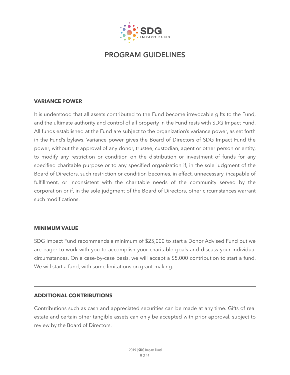

#### **VARIANCE POWER**

It is understood that all assets contributed to the Fund become irrevocable gifts to the Fund, and the ultimate authority and control of all property in the Fund rests with SDG Impact Fund. All funds established at the Fund are subject to the organization's variance power, as set forth in the Fund's bylaws. Variance power gives the Board of Directors of SDG Impact Fund the power, without the approval of any donor, trustee, custodian, agent or other person or entity, to modify any restriction or condition on the distribution or investment of funds for any specified charitable purpose or to any specified organization if, in the sole judgment of the Board of Directors, such restriction or condition becomes, in effect, unnecessary, incapable of fulfillment, or inconsistent with the charitable needs of the community served by the corporation or if, in the sole judgment of the Board of Directors, other circumstances warrant such modifications.

#### **MINIMUM VALUE**

SDG Impact Fund recommends a minimum of \$25,000 to start a Donor Advised Fund but we are eager to work with you to accomplish your charitable goals and discuss your individual circumstances. On a case-by-case basis, we will accept a \$5,000 contribution to start a fund. We will start a fund, with some limitations on grant-making.

#### **ADDITIONAL CONTRIBUTIONS**

Contributions such as cash and appreciated securities can be made at any time. Gifts of real estate and certain other tangible assets can only be accepted with prior approval, subject to review by the Board of Directors.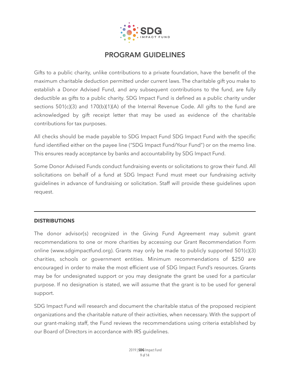

Gifts to a public charity, unlike contributions to a private foundation, have the benefit of the maximum charitable deduction permitted under current laws. The charitable gift you make to establish a Donor Advised Fund, and any subsequent contributions to the fund, are fully deductible as gifts to a public charity. SDG Impact Fund is defined as a public charity under sections 501(c)(3) and 170(b)(1)(A) of the Internal Revenue Code. All gifts to the fund are acknowledged by gift receipt letter that may be used as evidence of the charitable contributions for tax purposes.

All checks should be made payable to SDG Impact Fund SDG Impact Fund with the specific fund identified either on the payee line ("SDG Impact Fund/Your Fund") or on the memo line. This ensures ready acceptance by banks and accountability by SDG Impact Fund.

Some Donor Advised Funds conduct fundraising events or solicitations to grow their fund. All solicitations on behalf of a fund at SDG Impact Fund must meet our fundraising activity guidelines in advance of fundraising or solicitation. Staff will provide these guidelines upon request.

#### **DISTRIBUTIONS**

The donor advisor(s) recognized in the Giving Fund Agreement may submit grant recommendations to one or more charities by accessing our Grant Recommendation Form online (www.sdgimpactfund.org). Grants may only be made to publicly supported 501(c)(3) charities, schools or government entities. Minimum recommendations of \$250 are encouraged in order to make the most efficient use of SDG Impact Fund's resources. Grants may be for undesignated support or you may designate the grant be used for a particular purpose. If no designation is stated, we will assume that the grant is to be used for general support.

SDG Impact Fund will research and document the charitable status of the proposed recipient organizations and the charitable nature of their activities, when necessary. With the support of our grant-making staff, the Fund reviews the recommendations using criteria established by our Board of Directors in accordance with IRS guidelines.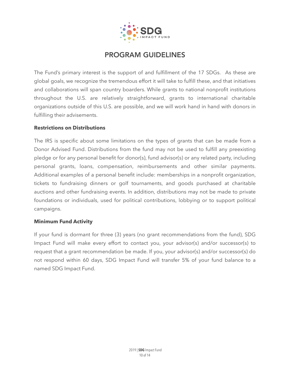

The Fund's primary interest is the support of and fulfillment of the 17 SDGs. As these are global goals, we recognize the tremendous effort it will take to fulfill these, and that initiatives and collaborations will span country boarders. While grants to national nonprofit institutions throughout the U.S. are relatively straightforward, grants to international charitable organizations outside of this U.S. are possible, and we will work hand in hand with donors in fulfilling their advisements.

#### **Restrictions on Distributions**

The IRS is specific about some limitations on the types of grants that can be made from a Donor Advised Fund. Distributions from the fund may not be used to fulfill any preexisting pledge or for any personal benefit for donor(s), fund advisor(s) or any related party, including personal grants, loans, compensation, reimbursements and other similar payments. Additional examples of a personal benefit include: memberships in a nonprofit organization, tickets to fundraising dinners or golf tournaments, and goods purchased at charitable auctions and other fundraising events. In addition, distributions may not be made to private foundations or individuals, used for political contributions, lobbying or to support political campaigns.

#### **Minimum Fund Activity**

If your fund is dormant for three (3) years (no grant recommendations from the fund), SDG Impact Fund will make every effort to contact you, your advisor(s) and/or successor(s) to request that a grant recommendation be made. If you, your advisor(s) and/or successor(s) do not respond within 60 days, SDG Impact Fund will transfer 5% of your fund balance to a named SDG Impact Fund.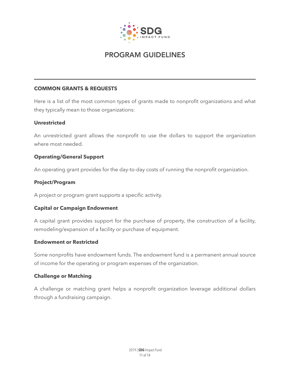

### **COMMON GRANTS & REQUESTS**

Here is a list of the most common types of grants made to nonprofit organizations and what they typically mean to those organizations:

#### **Unrestricted**

An unrestricted grant allows the nonprofit to use the dollars to support the organization where most needed.

#### **Operating/General Support**

An operating grant provides for the day-to-day costs of running the nonprofit organization.

#### **Project/Program**

A project or program grant supports a specific activity.

#### **Capital or Campaign Endowment**

A capital grant provides support for the purchase of property, the construction of a facility, remodeling/expansion of a facility or purchase of equipment.

#### **Endowment or Restricted**

Some nonprofits have endowment funds. The endowment fund is a permanent annual source of income for the operating or program expenses of the organization.

#### **Challenge or Matching**

A challenge or matching grant helps a nonprofit organization leverage additional dollars through a fundraising campaign.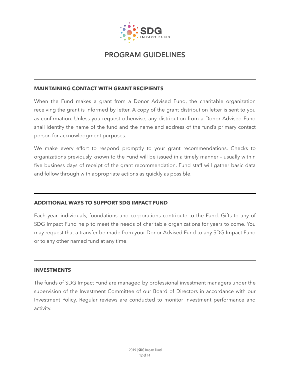

#### **MAINTAINING CONTACT WITH GRANT RECIPIENTS**

When the Fund makes a grant from a Donor Advised Fund, the charitable organization receiving the grant is informed by letter. A copy of the grant distribution letter is sent to you as confirmation. Unless you request otherwise, any distribution from a Donor Advised Fund shall identify the name of the fund and the name and address of the fund's primary contact person for acknowledgment purposes.

We make every effort to respond promptly to your grant recommendations. Checks to organizations previously known to the Fund will be issued in a timely manner – usually within five business days of receipt of the grant recommendation. Fund staff will gather basic data and follow through with appropriate actions as quickly as possible.

#### **ADDITIONAL WAYS TO SUPPORT SDG IMPACT FUND**

Each year, individuals, foundations and corporations contribute to the Fund. Gifts to any of SDG Impact Fund help to meet the needs of charitable organizations for years to come. You may request that a transfer be made from your Donor Advised Fund to any SDG Impact Fund or to any other named fund at any time.

#### **INVESTMENTS**

The funds of SDG Impact Fund are managed by professional investment managers under the supervision of the Investment Committee of our Board of Directors in accordance with our Investment Policy. Regular reviews are conducted to monitor investment performance and activity.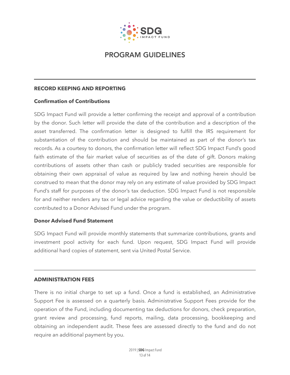

#### **RECORD KEEPING AND REPORTING**

#### **Confirmation of Contributions**

SDG Impact Fund will provide a letter confirming the receipt and approval of a contribution by the donor. Such letter will provide the date of the contribution and a description of the asset transferred. The confirmation letter is designed to fulfill the IRS requirement for substantiation of the contribution and should be maintained as part of the donor's tax records. As a courtesy to donors, the confirmation letter will reflect SDG Impact Fund's good faith estimate of the fair market value of securities as of the date of gift. Donors making contributions of assets other than cash or publicly traded securities are responsible for obtaining their own appraisal of value as required by law and nothing herein should be construed to mean that the donor may rely on any estimate of value provided by SDG Impact Fund's staff for purposes of the donor's tax deduction. SDG Impact Fund is not responsible for and neither renders any tax or legal advice regarding the value or deductibility of assets contributed to a Donor Advised Fund under the program.

#### **Donor Advised Fund Statement**

SDG Impact Fund will provide monthly statements that summarize contributions, grants and investment pool activity for each fund. Upon request, SDG Impact Fund will provide additional hard copies of statement, sent via United Postal Service.

#### **ADMINISTRATION FEES**

There is no initial charge to set up a fund. Once a fund is established, an Administrative Support Fee is assessed on a quarterly basis. Administrative Support Fees provide for the operation of the Fund, including documenting tax deductions for donors, check preparation, grant review and processing, fund reports, mailing, data processing, bookkeeping and obtaining an independent audit. These fees are assessed directly to the fund and do not require an additional payment by you.